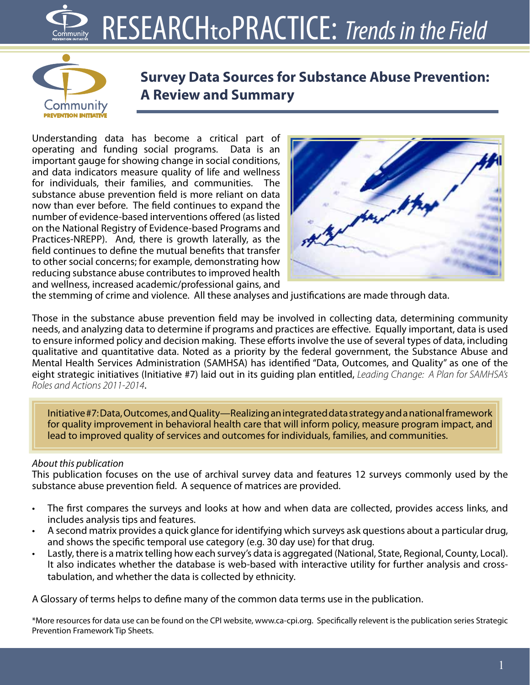## RESEARCHtoPRACTICE: *Trends in the Field*



**Survey Data Sources for Substance Abuse Prevention: A Review and Summary**

Understanding data has become a critical part of operating and funding social programs. Data is an important gauge for showing change in social conditions, and data indicators measure quality of life and wellness for individuals, their families, and communities. The substance abuse prevention field is more reliant on data now than ever before. The field continues to expand the number of evidence-based interventions offered (as listed on the National Registry of Evidence-based Programs and Practices-NREPP). And, there is growth laterally, as the field continues to define the mutual benefits that transfer to other social concerns; for example, demonstrating how reducing substance abuse contributes to improved health and wellness, increased academic/professional gains, and



the stemming of crime and violence. All these analyses and justifications are made through data.

Those in the substance abuse prevention field may be involved in collecting data, determining community needs, and analyzing data to determine if programs and practices are effective. Equally important, data is used to ensure informed policy and decision making. These efforts involve the use of several types of data, including qualitative and quantitative data. Noted as a priority by the federal government, the Substance Abuse and Mental Health Services Administration (SAMHSA) has identified "Data, Outcomes, and Quality" as one of the eight strategic initiatives (Initiative #7) laid out in its guiding plan entitled, *Leading Change: A Plan for SAMHSA's Roles and Actions 2011-2014*.

Initiative #7: Data, Outcomes, and Quality—Realizing an integrated data strategy and a national framework for quality improvement in behavioral health care that will inform policy, measure program impact, and lead to improved quality of services and outcomes for individuals, families, and communities.

#### *About this publication*

This publication focuses on the use of archival survey data and features 12 surveys commonly used by the substance abuse prevention field. A sequence of matrices are provided.

- The first compares the surveys and looks at how and when data are collected, provides access links, and includes analysis tips and features.
- A second matrix provides a quick glance for identifying which surveys ask questions about a particular drug, and shows the specific temporal use category (e.g. 30 day use) for that drug.
- Lastly, there is a matrix telling how each survey's data is aggregated (National, State, Regional, County, Local). It also indicates whether the database is web-based with interactive utility for further analysis and crosstabulation, and whether the data is collected by ethnicity.

A Glossary of terms helps to define many of the common data terms use in the publication.

\*More resources for data use can be found on the CPI website, www.ca-cpi.org. Specifically relevent is the publication series Strategic Prevention Framework Tip Sheets.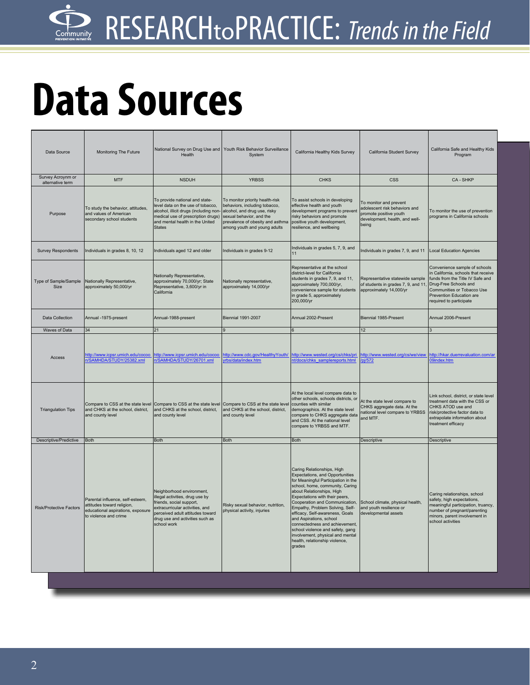# **Data Sources**

| Data Source                           | Monitoring The Future                                                                                                        | Health                                                                                                                                                                                                            | National Survey on Drug Use and Youth Risk Behavior Surveillance<br>System                                                                                                                       | California Healthy Kids Survey                                                                                                                                                                                                                                                                                                                                                                                                                                                                  | California Student Survey                                                                                                    | California Safe and Healthy Kids<br>Program                                                                                                                                                                           |
|---------------------------------------|------------------------------------------------------------------------------------------------------------------------------|-------------------------------------------------------------------------------------------------------------------------------------------------------------------------------------------------------------------|--------------------------------------------------------------------------------------------------------------------------------------------------------------------------------------------------|-------------------------------------------------------------------------------------------------------------------------------------------------------------------------------------------------------------------------------------------------------------------------------------------------------------------------------------------------------------------------------------------------------------------------------------------------------------------------------------------------|------------------------------------------------------------------------------------------------------------------------------|-----------------------------------------------------------------------------------------------------------------------------------------------------------------------------------------------------------------------|
| Survey Acroynm or<br>alternative term | <b>MTF</b>                                                                                                                   | <b>NSDUH</b>                                                                                                                                                                                                      | <b>YRBSS</b>                                                                                                                                                                                     | <b>CHKS</b>                                                                                                                                                                                                                                                                                                                                                                                                                                                                                     | <b>CSS</b>                                                                                                                   | CA - SHKP                                                                                                                                                                                                             |
| Purpose                               | To study the behavior, attitudes,<br>and values of American<br>secondary school students                                     | To provide national and state-<br>level data on the use of tobacco,<br>alcohol, illicit drugs (including non-<br>medical use of prescription drugs)<br>and mental health in the United<br><b>States</b>           | To monitor priority health-risk<br>behaviors, including tobacco,<br>alcohol, and drug use, risky<br>sexual behavior, and the<br>prevalence of obesity and asthma<br>among youth and young adults | To assist schools in developing<br>effective health and youth<br>development programs to prevent<br>risky behaviors and promote<br>positive youth development,<br>resilience, and wellbeing                                                                                                                                                                                                                                                                                                     | To monitor and prevent<br>adolescent risk behaviors and<br>promote positive youth<br>development, health, and well-<br>being | To monitor the use of prevention<br>programs in California schools                                                                                                                                                    |
| <b>Survey Respondents</b>             | Individuals in grades 8, 10, 12                                                                                              | Individuals aged 12 and older                                                                                                                                                                                     | Individuals in grades 9-12                                                                                                                                                                       | Individuals in grades 5, 7, 9, and<br>11                                                                                                                                                                                                                                                                                                                                                                                                                                                        | Individuals in grades 7, 9, and 11 Local Education Agencies                                                                  |                                                                                                                                                                                                                       |
| Type of Sample/Sample<br>Size         | Nationally Representative,<br>approximately 50,000/yr                                                                        | Nationally Representative,<br>approximately 70,000/yr; State<br>Representative, 3,600/yr in<br>California                                                                                                         | Nationally representative,<br>approximately 14,000/yr                                                                                                                                            | Representative at the school<br>district-level for California<br>students in grades 7, 9, and 11,<br>approximately 700,000/yr,<br>convenience sample for students<br>in grade 5, approximately<br>200,000/yr                                                                                                                                                                                                                                                                                    | Representative statewide sample<br>of students in grades 7, 9, and 11,<br>approximately 14,000/yr                            | Convenience sample of schools<br>n California, schools that receive<br>funds from the Title IV Safe and<br>Drug-Free Schools and<br>Communities or Tobacco Use<br>Prevention Education are<br>required to participate |
| Data Collection                       | Annual -1975-present                                                                                                         | Annual-1988-present                                                                                                                                                                                               | <b>Biennial 1991-2007</b>                                                                                                                                                                        | Annual 2002-Present                                                                                                                                                                                                                                                                                                                                                                                                                                                                             | Biennial 1985-Present                                                                                                        | Annual 2006-Present                                                                                                                                                                                                   |
| Waves of Data                         | 34                                                                                                                           | 21                                                                                                                                                                                                                |                                                                                                                                                                                                  |                                                                                                                                                                                                                                                                                                                                                                                                                                                                                                 | 12                                                                                                                           |                                                                                                                                                                                                                       |
| Access                                | ttp://www.icpsr.umich.edu/cocoo<br>/SAMHDA/STUDY/25382.xml                                                                   | http://www.icpsr.umich.edu/cocoo<br>1/SAMHDA/STUDY/26701.xml                                                                                                                                                      | http://www.cdc.gov/HealthyYouth/<br>rbs/data/index.htm                                                                                                                                           | http://www.wested.org/cs/chks/pri<br>nt/docs/chks samplereports.html                                                                                                                                                                                                                                                                                                                                                                                                                            | http://www.wested.org/cs/we/view<br>pj/572                                                                                   | http://hkar.duerrevaluation.com/ar<br>9index.htm                                                                                                                                                                      |
| <b>Triangulation Tips</b>             | and CHKS at the school, district,<br>and county level                                                                        | Compare to CSS at the state level Compare to CSS at the state level Compare to CSS at the state level<br>and CHKS at the school, district,<br>and county level                                                    | and CHKS at the school, district,<br>and county level                                                                                                                                            | At the local level compare data to<br>other schools, schools districts, or<br>counties with similar<br>demographics. At the state level<br>compare to CHKS aggregate data<br>and CSS. At the national level<br>compare to YRBSS and MTF.                                                                                                                                                                                                                                                        | At the state level compare to<br>CHKS aggregate data. At the<br>national level compare to YRBSS<br>and MTF.                  | Link school, district, or state level<br>treatment data with the CSS or<br>CHKS ATOD use and<br>risk/protective factor data to<br>extrapolate information about<br>treatment efficacy                                 |
| Descriptive/Predictive                | <b>Both</b>                                                                                                                  | <b>Both</b>                                                                                                                                                                                                       | <b>Both</b>                                                                                                                                                                                      | <b>Both</b>                                                                                                                                                                                                                                                                                                                                                                                                                                                                                     | Descriptive                                                                                                                  | Descriptive                                                                                                                                                                                                           |
| <b>Risk/Protective Factors</b>        | Parental influence, self-esteem,<br>attitudes toward religion,<br>educational aspirations, exposure<br>to violence and crime | Neighborhood environment,<br>illegal activities, drug use by<br>friends, social support,<br>extracurricular activities, and<br>perceived adult attitudes toward<br>drug use and activities such as<br>school work | Risky sexual behavior, nutrition,<br>physical activity, injuries                                                                                                                                 | Caring Relationships, High<br>Expectations, and Opportunities<br>for Meaningful Participation in the<br>school, home, community, Caring<br>about Relationships, High<br>Expectations with their peers,<br>Cooperation and Communication,<br>Empathy, Problem Solving, Self-<br>efficacy, Self-awareness, Goals<br>and Aspirations, school<br>connectedness and achievement,<br>school violence and safety, gang<br>involvement, physical and mental<br>health, relationship violence,<br>grades | School climate, physical health,<br>and youth resilience or<br>developmental assets                                          | Caring relationships, school<br>safety, high expectations,<br>meaningful participation, truancy,<br>number of pregnant/parenting<br>minors, parent involvement in<br>school activities                                |
|                                       |                                                                                                                              |                                                                                                                                                                                                                   |                                                                                                                                                                                                  |                                                                                                                                                                                                                                                                                                                                                                                                                                                                                                 |                                                                                                                              |                                                                                                                                                                                                                       |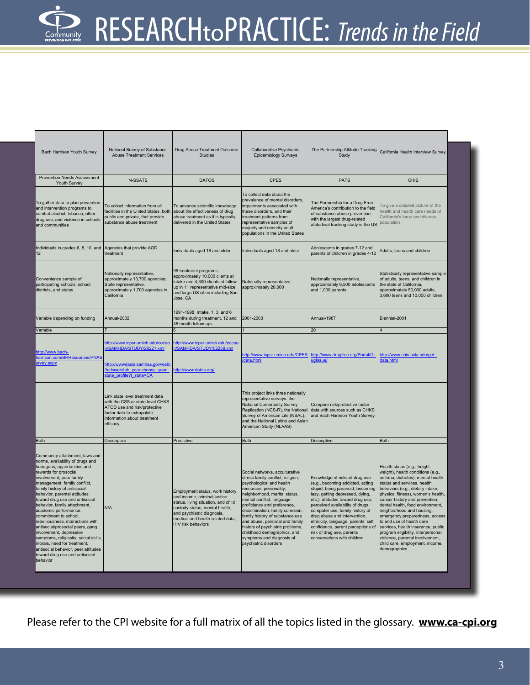| Bach Harrison Youth Survey                                                                                                                                                                                                                                                                                                                                                                                                                                                                                                                                                                                                                  | National Survey of Substance<br><b>Abuse Treatment Services</b>                                                                                                              | Drug Abuse Treatment Outcome<br><b>Studies</b>                                                                                                                                                                                           | Collaborative Psychiatric<br><b>Epidemiology Surveys</b>                                                                                                                                                                                                                                                                                                                                                                                                 | The Partnership Attitude Tracking<br>Study                                                                                                                                                                                                                                                                                                                                                                                   | California Health Interview Survey                                                                                                                                                                                                                                                                                                                                                                                                                                                                                                                 |
|---------------------------------------------------------------------------------------------------------------------------------------------------------------------------------------------------------------------------------------------------------------------------------------------------------------------------------------------------------------------------------------------------------------------------------------------------------------------------------------------------------------------------------------------------------------------------------------------------------------------------------------------|------------------------------------------------------------------------------------------------------------------------------------------------------------------------------|------------------------------------------------------------------------------------------------------------------------------------------------------------------------------------------------------------------------------------------|----------------------------------------------------------------------------------------------------------------------------------------------------------------------------------------------------------------------------------------------------------------------------------------------------------------------------------------------------------------------------------------------------------------------------------------------------------|------------------------------------------------------------------------------------------------------------------------------------------------------------------------------------------------------------------------------------------------------------------------------------------------------------------------------------------------------------------------------------------------------------------------------|----------------------------------------------------------------------------------------------------------------------------------------------------------------------------------------------------------------------------------------------------------------------------------------------------------------------------------------------------------------------------------------------------------------------------------------------------------------------------------------------------------------------------------------------------|
| <b>Prevention Needs Assessment</b><br>Youth Survey                                                                                                                                                                                                                                                                                                                                                                                                                                                                                                                                                                                          | N-SSATS                                                                                                                                                                      | <b>DATOS</b>                                                                                                                                                                                                                             | <b>CPES</b>                                                                                                                                                                                                                                                                                                                                                                                                                                              | <b>PATS</b>                                                                                                                                                                                                                                                                                                                                                                                                                  | <b>CHIS</b>                                                                                                                                                                                                                                                                                                                                                                                                                                                                                                                                        |
| To gather data to plan prevention<br>and intervention programs to<br>combat alcohol, tobacco, other<br>drug use, and violence in schools<br>and communities                                                                                                                                                                                                                                                                                                                                                                                                                                                                                 | To collect information from all<br>facilities in the United States, both<br>public and private, that provide<br>substance abuse treatment                                    | To advance scientific knowledge<br>about the effectiveness of drug<br>abuse treatment as it is typically<br>delivered in the United States                                                                                               | To collect data about the<br>prevalence of mental disorders,<br>mpairments associated with<br>these disorders, and their<br>treatment patterns from<br>representative samples of<br>majority and minority adult<br>populations in the United States                                                                                                                                                                                                      | The Partnership for a Drug Free<br>America's contribution to the field<br>of substance abuse prevention<br>with the largest drug-related<br>attitudinal tracking study in the US                                                                                                                                                                                                                                             | To give a detailed picture of the<br>health and health care needs of<br>California's large and diverse<br>opulation                                                                                                                                                                                                                                                                                                                                                                                                                                |
| Individuals in grades 6, 8, 10, and Agencies that provide AOD<br>12                                                                                                                                                                                                                                                                                                                                                                                                                                                                                                                                                                         | treatment                                                                                                                                                                    | Individuals aged 18 and older                                                                                                                                                                                                            | Individuals aged 18 and older                                                                                                                                                                                                                                                                                                                                                                                                                            | Adolescents in grades 7-12 and<br>parents of children in grades 4-12                                                                                                                                                                                                                                                                                                                                                         | Adults, teens and children                                                                                                                                                                                                                                                                                                                                                                                                                                                                                                                         |
| Convenience sample of<br>participating schools, school<br>districts, and states                                                                                                                                                                                                                                                                                                                                                                                                                                                                                                                                                             | Nationally representative,<br>approximately 13,700 agencies;<br>State representative,<br>approximately 1,700 agencies in<br>California                                       | 96 treatment programs,<br>approximately 10,000 clients at<br>intake and 4,300 clients at follow-<br>up in 11 representative mid-size<br>and large US cities including San<br>Jose, CA                                                    | Nationally representative,<br>approximately 20,000                                                                                                                                                                                                                                                                                                                                                                                                       | Nationally representative,<br>approximately 6,500 adolescents<br>and 1,000 parents                                                                                                                                                                                                                                                                                                                                           | Statistically representative sample<br>of adults, teens, and children in<br>the state of California,<br>approximately 50,000 adults,<br>3,600 teens and 10,000 children                                                                                                                                                                                                                                                                                                                                                                            |
| Variable depending on funding                                                                                                                                                                                                                                                                                                                                                                                                                                                                                                                                                                                                               | Annual-2002                                                                                                                                                                  | 1991-1998, Intake, 1, 3, and 6<br>months during treatment, 12 and<br>48 month follow-ups                                                                                                                                                 | 2001-2003                                                                                                                                                                                                                                                                                                                                                                                                                                                | Annual-1987                                                                                                                                                                                                                                                                                                                                                                                                                  | Biennial-2001                                                                                                                                                                                                                                                                                                                                                                                                                                                                                                                                      |
| Variable                                                                                                                                                                                                                                                                                                                                                                                                                                                                                                                                                                                                                                    |                                                                                                                                                                              |                                                                                                                                                                                                                                          |                                                                                                                                                                                                                                                                                                                                                                                                                                                          | 20                                                                                                                                                                                                                                                                                                                                                                                                                           |                                                                                                                                                                                                                                                                                                                                                                                                                                                                                                                                                    |
| http://www.bach-<br>harrison.com/BHResources/PNAS<br>urvey.aspx                                                                                                                                                                                                                                                                                                                                                                                                                                                                                                                                                                             | http://www.icpsr.umich.edu/cocoo<br>n/SAMHDA/STUDY/26221.xml<br>http://wwwdasis.samhsa.gov/webt<br>tedsweb/tab year.choose year<br>tate profile?t state=CA                   | http://www.icpsr.umich.edu/cocoo<br>VSAMHDA/STUDY/02258.xml<br>http://www.datos.org/                                                                                                                                                     | ttp://www.icpsr.umich.edu/CPES<br>data.html                                                                                                                                                                                                                                                                                                                                                                                                              | ttp://www.drugfree.org/Portal/Dr<br>iglssue/                                                                                                                                                                                                                                                                                                                                                                                 | http://www.chis.ucla.edu/get-<br>lata.html                                                                                                                                                                                                                                                                                                                                                                                                                                                                                                         |
|                                                                                                                                                                                                                                                                                                                                                                                                                                                                                                                                                                                                                                             | Link state level treatment data<br>with the CSS or state level CHKS<br>ATOD use and risk/protective<br>factor data to extrapolate<br>information about treatment<br>efficacy |                                                                                                                                                                                                                                          | This project links three nationally<br>representative surveys: the<br>National Comorbidity Survey<br>Replication (NCS-R), the National<br>Survey of American Life (NSAL),<br>and the National Latino and Asian<br>American Study (NLAAS)                                                                                                                                                                                                                 | Compare risk/protective factor<br>data with sources such as CHKS<br>and Bach Harrison Youth Survey                                                                                                                                                                                                                                                                                                                           |                                                                                                                                                                                                                                                                                                                                                                                                                                                                                                                                                    |
| <b>Both</b>                                                                                                                                                                                                                                                                                                                                                                                                                                                                                                                                                                                                                                 | Descriptive                                                                                                                                                                  | Predictive                                                                                                                                                                                                                               | Both                                                                                                                                                                                                                                                                                                                                                                                                                                                     | Descriptive                                                                                                                                                                                                                                                                                                                                                                                                                  | Both                                                                                                                                                                                                                                                                                                                                                                                                                                                                                                                                               |
| Community attachment, laws and<br>norms, availability of drugs and<br>handguns, opportunities and<br>rewards for prosocial<br>involvement, poor family<br>management, family conflict,<br>family history of antisocial<br>behavior, parental attitudes<br>toward drug use and antisocial<br>behavior, family attachment,<br>academic performance,<br>commitment to school.<br>rebelliousness, interactions with<br>antisocial/prosocial peers, gang<br>involvement, depressive<br>symptoms, religiosity, social skills,<br>morals, need for treatment,<br>antisocial behavior, peer attitudes<br>toward drug use and antisocial<br>behavior | N/A                                                                                                                                                                          | Employment status, work history,<br>and income, criminal justice<br>status, living situation, and child<br>custody status, mental health,<br>and psychiatric diagnosis,<br>medical and health-related data,<br><b>HIV risk behaviors</b> | Social networks, acculturative<br>stress family conflict, religion,<br>psychological and health<br>esources, personality,<br>eighborhood, marital status,<br>marital conflict, language<br>proficiency and preference,<br>discrimination, family cohesion,<br>family history of substance use<br>and abuse, personal and family<br>history of psychiatric problems,<br>childhood demographics, and<br>symptoms and diagnosis of<br>psychiatric disorders | Knowledge of risks of drug use<br>(e.g., becoming addicted, acting<br>stupid, being paranoid, becoming<br>lazy, getting depressed, dying,<br>etc.), attitudes toward drug use,<br>perceived availability of drugs,<br>computer use, family history of<br>drug abuse and intervention,<br>ethnicity, language, parents' self<br>confidence, parent perceptions of<br>risk of drug use, parents<br>conversations with children | Health status (e.g., height,<br>weight), health conditions (e.g.,<br>asthma, diabetes), mental health<br>status and services, health<br>behaviors (e.g., dietary intake,<br>physical fitness), women's health,<br>cancer history and prevention,<br>dental health, food environment,<br>neighborhood and housing,<br>emergency preparedness, access<br>to and use of health care<br>services, health insurance, public<br>program eligibility, interpersonal<br>violence, parental involvement,<br>child care, employment, income,<br>demographics |

Please refer to the CPI website for a full matrix of all the topics listed in the glossary. **www.ca-cpi.org**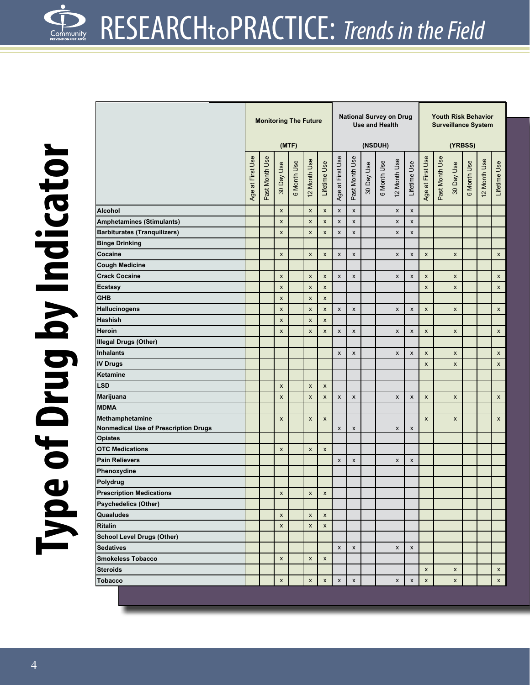|                                      | <b>Monitoring The Future</b><br>(MTF) |                |                           |             |              |                           |                    |                    | <b>National Survey on Drug</b><br><b>Use and Health</b> | (NSDUH)     |                    | <b>Youth Risk Behavior</b><br><b>Surveillance System</b><br>(YRBSS) |                    |                |                    |             |              |                    |
|--------------------------------------|---------------------------------------|----------------|---------------------------|-------------|--------------|---------------------------|--------------------|--------------------|---------------------------------------------------------|-------------|--------------------|---------------------------------------------------------------------|--------------------|----------------|--------------------|-------------|--------------|--------------------|
|                                      | Age at First Use                      | Past Month Use | 30 Day Use                | 6 Month Use | 12 Month Use | Lifetime Use              | Age at First Use   | Past Month Use     | 30 Day Use                                              | 6 Month Use | 12 Month Use       | Lifetime Use                                                        | Age at First Use   | Past Month Use | 30 Day Use         | 6 Month Use | 12 Month Use | Lifetime Use       |
| <b>Alcohol</b>                       |                                       |                | $\pmb{\mathsf{x}}$        |             | X            | $\pmb{\chi}$              | X                  | X                  |                                                         |             | $\pmb{\mathsf{x}}$ | X                                                                   |                    |                |                    |             |              |                    |
| <b>Amphetamines (Stimulants)</b>     |                                       |                | $\pmb{\mathsf{x}}$        |             | X            | $\pmb{\mathsf{x}}$        | x                  | X                  |                                                         |             | $\pmb{\times}$     | X                                                                   |                    |                |                    |             |              |                    |
| <b>Barbiturates (Tranquilizers)</b>  |                                       |                | $\pmb{\mathsf{x}}$        |             | X            | $\pmb{\mathsf{x}}$        | x                  | $\pmb{\mathsf{x}}$ |                                                         |             | $\pmb{\mathsf{x}}$ | x                                                                   |                    |                |                    |             |              |                    |
| <b>Binge Drinking</b>                |                                       |                |                           |             |              |                           |                    |                    |                                                         |             |                    |                                                                     |                    |                |                    |             |              |                    |
| Cocaine                              |                                       |                | $\pmb{\mathsf{x}}$        |             | X            | $\boldsymbol{\mathsf{x}}$ | x                  | X                  |                                                         |             | $\pmb{\times}$     | X                                                                   | $\pmb{\times}$     |                | $\pmb{\times}$     |             |              | $\pmb{\times}$     |
| <b>Cough Medicine</b>                |                                       |                |                           |             |              |                           |                    |                    |                                                         |             |                    |                                                                     |                    |                |                    |             |              |                    |
| <b>Crack Cocaine</b>                 |                                       |                | $\pmb{\mathsf{x}}$        |             | x            | $\pmb{\mathsf{x}}$        | X                  | $\pmb{\mathsf{x}}$ |                                                         |             | $\pmb{\mathsf{x}}$ | X                                                                   | $\pmb{\times}$     |                | X                  |             |              | $\pmb{\times}$     |
| <b>Ecstasy</b>                       |                                       |                | $\boldsymbol{\mathsf{x}}$ |             | X            | $\pmb{\times}$            |                    |                    |                                                         |             |                    |                                                                     | $\pmb{\mathsf{x}}$ |                | $\pmb{\mathsf{x}}$ |             |              | $\pmb{\times}$     |
| <b>GHB</b>                           |                                       |                | $\boldsymbol{\mathsf{x}}$ |             | X            | $\pmb{\mathsf{x}}$        |                    |                    |                                                         |             |                    |                                                                     |                    |                |                    |             |              |                    |
| <b>Hallucinogens</b>                 |                                       |                | $\boldsymbol{\mathsf{x}}$ |             | X            | $\pmb{\times}$            | X                  | X                  |                                                         |             | $\pmb{\times}$     | X                                                                   | $\pmb{\times}$     |                | $\pmb{\times}$     |             |              | $\pmb{\times}$     |
| <b>Hashish</b>                       |                                       |                | X                         |             | X            | $\pmb{\times}$            |                    |                    |                                                         |             |                    |                                                                     |                    |                |                    |             |              |                    |
| Heroin                               |                                       |                | $\pmb{\mathsf{x}}$        |             | X            | $\pmb{\times}$            | x                  | $\pmb{\mathsf{x}}$ |                                                         |             | $\pmb{\times}$     | x                                                                   | $\pmb{\mathsf{x}}$ |                | $\pmb{\mathsf{x}}$ |             |              | $\pmb{\times}$     |
| <b>Illegal Drugs (Other)</b>         |                                       |                |                           |             |              |                           |                    |                    |                                                         |             |                    |                                                                     |                    |                |                    |             |              |                    |
| <b>Inhalants</b>                     |                                       |                |                           |             |              |                           | X                  | X                  |                                                         |             | $\pmb{\times}$     | X                                                                   | $\pmb{\times}$     |                | $\pmb{\times}$     |             |              | $\pmb{\times}$     |
| <b>IV Drugs</b>                      |                                       |                |                           |             |              |                           |                    |                    |                                                         |             |                    |                                                                     | $\mathsf{x}$       |                | $\pmb{\times}$     |             |              | $\pmb{\times}$     |
| Ketamine                             |                                       |                |                           |             |              |                           |                    |                    |                                                         |             |                    |                                                                     |                    |                |                    |             |              |                    |
| <b>LSD</b>                           |                                       |                | $\pmb{\mathsf{x}}$        |             | X            | $\pmb{\times}$            |                    |                    |                                                         |             |                    |                                                                     |                    |                |                    |             |              |                    |
| <b>Marijuana</b>                     |                                       |                | $\boldsymbol{\mathsf{x}}$ |             | X            | $\pmb{\mathsf{X}}$        | x                  | $\pmb{\mathsf{x}}$ |                                                         |             | $\pmb{\mathsf{x}}$ | X                                                                   | $\pmb{\times}$     |                | X                  |             |              | $\pmb{\times}$     |
| <b>MDMA</b>                          |                                       |                |                           |             |              |                           |                    |                    |                                                         |             |                    |                                                                     |                    |                |                    |             |              |                    |
| Methamphetamine                      |                                       |                | X                         |             | X            | $\pmb{\times}$            |                    |                    |                                                         |             |                    |                                                                     | $\pmb{\times}$     |                | $\pmb{\times}$     |             |              | X                  |
| Nonmedical Use of Prescription Drugs |                                       |                |                           |             |              |                           | $\pmb{\mathsf{x}}$ | X                  |                                                         |             | $\pmb{\times}$     | $\pmb{\times}$                                                      |                    |                |                    |             |              |                    |
| <b>Opiates</b>                       |                                       |                |                           |             |              |                           |                    |                    |                                                         |             |                    |                                                                     |                    |                |                    |             |              |                    |
| <b>OTC Medications</b>               |                                       |                | $\boldsymbol{\mathsf{x}}$ |             | X            | $\boldsymbol{\mathsf{x}}$ |                    |                    |                                                         |             |                    |                                                                     |                    |                |                    |             |              |                    |
| <b>Pain Relievers</b>                |                                       |                |                           |             |              |                           | x                  | X                  |                                                         |             | X                  | x                                                                   |                    |                |                    |             |              |                    |
| Phenoxydine                          |                                       |                |                           |             |              |                           |                    |                    |                                                         |             |                    |                                                                     |                    |                |                    |             |              |                    |
| Polydrug                             |                                       |                |                           |             |              |                           |                    |                    |                                                         |             |                    |                                                                     |                    |                |                    |             |              |                    |
| <b>Prescription Medications</b>      |                                       |                | X                         |             | x            | X                         |                    |                    |                                                         |             |                    |                                                                     |                    |                |                    |             |              |                    |
| <b>Psychedelics (Other)</b>          |                                       |                |                           |             |              |                           |                    |                    |                                                         |             |                    |                                                                     |                    |                |                    |             |              |                    |
| Quaaludes                            |                                       |                | $\pmb{\mathsf{x}}$        |             | X            | $\pmb{\mathsf{x}}$        |                    |                    |                                                         |             |                    |                                                                     |                    |                |                    |             |              |                    |
| <b>Ritalin</b>                       |                                       |                | $\pmb{\mathsf{x}}$        |             | X            | $\pmb{\mathsf{x}}$        |                    |                    |                                                         |             |                    |                                                                     |                    |                |                    |             |              |                    |
| <b>School Level Drugs (Other)</b>    |                                       |                |                           |             |              |                           |                    |                    |                                                         |             |                    |                                                                     |                    |                |                    |             |              |                    |
| <b>Sedatives</b>                     |                                       |                |                           |             |              |                           | X                  | $\pmb{\mathsf{x}}$ |                                                         |             | $\pmb{\mathsf{x}}$ | x                                                                   |                    |                |                    |             |              |                    |
| <b>Smokeless Tobacco</b>             |                                       |                | X                         |             | X            | $\pmb{\mathsf{x}}$        |                    |                    |                                                         |             |                    |                                                                     |                    |                |                    |             |              |                    |
| <b>Steroids</b>                      |                                       |                |                           |             |              |                           |                    |                    |                                                         |             |                    |                                                                     | $\pmb{\mathsf{x}}$ |                | $\pmb{\mathsf{x}}$ |             |              | $\pmb{\mathsf{x}}$ |
| <b>Tobacco</b>                       |                                       |                | $\pmb{\mathsf{x}}$        |             | X            | X                         | X                  | $\pmb{\mathsf{x}}$ |                                                         |             | $\pmb{\mathsf{x}}$ | X                                                                   | $\pmb{\times}$     |                | $\pmb{\mathsf{x}}$ |             |              | X                  |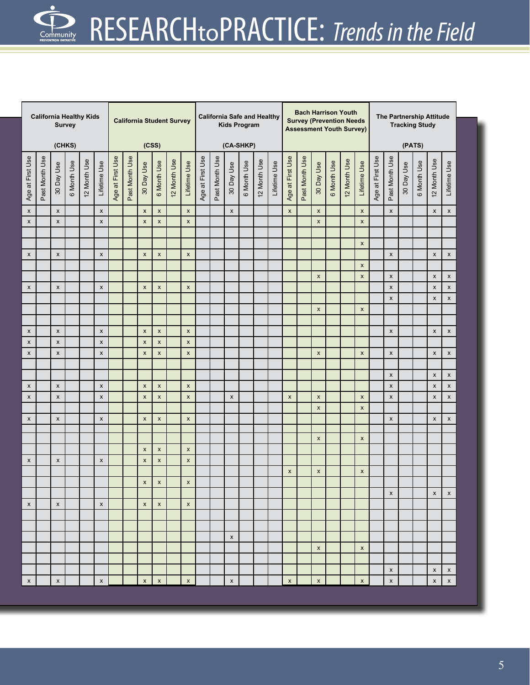| <b>California Healthy Kids</b><br><b>Survey</b><br>(CHKS) |                |                    |             |              |                    |                  |                |                           | <b>California Student Survey</b><br>(CSS) |              |                           | <b>California Safe and Healthy</b><br><b>Kids Program</b><br>(CA-SHKP) |                |                    |             |              |              | <b>Bach Harrison Youth</b><br><b>Survey (Prevention Needs</b><br><b>Assessment Youth Survey)</b> |                |                    |             |             |                           |                  | The Partnership Attitude<br><b>Tracking Study</b><br>(PATS) |            |             |                           |                    |  |
|-----------------------------------------------------------|----------------|--------------------|-------------|--------------|--------------------|------------------|----------------|---------------------------|-------------------------------------------|--------------|---------------------------|------------------------------------------------------------------------|----------------|--------------------|-------------|--------------|--------------|--------------------------------------------------------------------------------------------------|----------------|--------------------|-------------|-------------|---------------------------|------------------|-------------------------------------------------------------|------------|-------------|---------------------------|--------------------|--|
|                                                           |                |                    |             |              |                    |                  |                |                           |                                           |              |                           |                                                                        |                |                    |             |              |              |                                                                                                  |                |                    |             |             |                           |                  |                                                             |            |             |                           |                    |  |
| Age at First Use                                          | Past Month Use | 30 Day Use         | 6 Month Use | 12 Month Use | Lifetime Use       | Age at First Use | Past Month Use | 30 Day Use                | 6 Month Use                               | 12 Month Use | Lifetime Use              | Age at First Use                                                       | Past Month Use | 30 Day Use         | 6 Month Use | 12 Month Use | Lifetime Use | Age at First Use                                                                                 | Past Month Use | 30 Day Use         | 6 Month Use | 2 Month Use | Lifetime Use              | Age at First Use | Past Month Use                                              | 30 Day Use | 6 Month Use | 12 Month Use              | Lifetime Use       |  |
| $\boldsymbol{\mathsf{x}}$                                 |                | $\pmb{\times}$     |             |              | $\mathsf{x}$       |                  |                | $\boldsymbol{\mathsf{x}}$ | $\mathsf{x}$                              |              | $\boldsymbol{\mathsf{x}}$ |                                                                        |                | $\pmb{\times}$     |             |              |              | $\mathsf{x}$                                                                                     |                | $\pmb{\times}$     |             |             | $\pmb{\mathsf{x}}$        |                  | $\mathsf{x}$                                                |            |             | $\boldsymbol{\mathsf{x}}$ | $\mathsf{x}$       |  |
| $\pmb{\mathsf{x}}$                                        |                | $\pmb{\times}$     |             |              | $\pmb{\times}$     |                  |                | $\pmb{\times}$            | $\pmb{\mathsf{x}}$                        |              | $\boldsymbol{\mathsf{x}}$ |                                                                        |                |                    |             |              |              |                                                                                                  |                | $\pmb{\mathsf{x}}$ |             |             | $\boldsymbol{\mathsf{x}}$ |                  |                                                             |            |             |                           |                    |  |
|                                                           |                |                    |             |              |                    |                  |                |                           |                                           |              |                           |                                                                        |                |                    |             |              |              |                                                                                                  |                |                    |             |             |                           |                  |                                                             |            |             |                           |                    |  |
|                                                           |                |                    |             |              |                    |                  |                |                           |                                           |              |                           |                                                                        |                |                    |             |              |              |                                                                                                  |                |                    |             |             | $\pmb{\mathsf{x}}$        |                  |                                                             |            |             |                           |                    |  |
| $\pmb{\times}$                                            |                | $\pmb{\times}$     |             |              | $\pmb{\times}$     |                  |                | $\pmb{\times}$            | $\pmb{\mathsf{x}}$                        |              | $\pmb{\times}$            |                                                                        |                |                    |             |              |              |                                                                                                  |                |                    |             |             |                           |                  | $\pmb{\times}$                                              |            |             | $\boldsymbol{\mathsf{x}}$ | $\pmb{\mathsf{x}}$ |  |
|                                                           |                |                    |             |              |                    |                  |                |                           |                                           |              |                           |                                                                        |                |                    |             |              |              |                                                                                                  |                |                    |             |             | $\boldsymbol{\mathsf{x}}$ |                  |                                                             |            |             |                           |                    |  |
|                                                           |                |                    |             |              |                    |                  |                |                           |                                           |              |                           |                                                                        |                |                    |             |              |              |                                                                                                  |                | $\pmb{\mathsf{x}}$ |             |             | $\pmb{\mathsf{x}}$        |                  | $\boldsymbol{\mathsf{x}}$                                   |            |             | $\boldsymbol{\mathsf{x}}$ | X                  |  |
| $\pmb{\mathsf{X}}$                                        |                | $\pmb{\chi}$       |             |              | $\pmb{\times}$     |                  |                | $\pmb{\times}$            | X                                         |              | $\pmb{\times}$            |                                                                        |                |                    |             |              |              |                                                                                                  |                |                    |             |             |                           |                  | $\pmb{\times}$                                              |            |             | $\boldsymbol{\mathsf{x}}$ | $\mathsf X$        |  |
|                                                           |                |                    |             |              |                    |                  |                |                           |                                           |              |                           |                                                                        |                |                    |             |              |              |                                                                                                  |                |                    |             |             |                           |                  | $\pmb{\times}$                                              |            |             | $\boldsymbol{\mathsf{x}}$ | $\pmb{\mathsf{x}}$ |  |
|                                                           |                |                    |             |              |                    |                  |                |                           |                                           |              |                           |                                                                        |                |                    |             |              |              |                                                                                                  |                | $\pmb{\mathsf{x}}$ |             |             | $\boldsymbol{\mathsf{x}}$ |                  |                                                             |            |             |                           |                    |  |
|                                                           |                |                    |             |              |                    |                  |                |                           |                                           |              |                           |                                                                        |                |                    |             |              |              |                                                                                                  |                |                    |             |             |                           |                  |                                                             |            |             |                           |                    |  |
| $\pmb{\times}$                                            |                | $\pmb{\chi}$       |             |              | $\pmb{\times}$     |                  |                | $\pmb{\times}$            | $\pmb{\mathsf{x}}$                        |              | $\pmb{\times}$            |                                                                        |                |                    |             |              |              |                                                                                                  |                |                    |             |             |                           |                  | $\boldsymbol{\mathsf{x}}$                                   |            |             | $\boldsymbol{\mathsf{x}}$ | $\mathsf{x}$       |  |
| $\pmb{\mathsf{x}}$                                        |                | $\pmb{\times}$     |             |              | $\pmb{\times}$     |                  |                | $\pmb{\times}$            | $\pmb{\mathsf{x}}$                        |              | $\pmb{\times}$            |                                                                        |                |                    |             |              |              |                                                                                                  |                |                    |             |             |                           |                  |                                                             |            |             |                           |                    |  |
| $\pmb{\times}$                                            |                | $\pmb{\times}$     |             |              | $\pmb{\times}$     |                  |                | $\pmb{\times}$            | $\pmb{\mathsf{x}}$                        |              | $\boldsymbol{\mathsf{x}}$ |                                                                        |                |                    |             |              |              |                                                                                                  |                | $\pmb{\mathsf{x}}$ |             |             | $\pmb{\times}$            |                  | $\pmb{\times}$                                              |            |             | $\boldsymbol{\mathsf{x}}$ | $\mathsf X$        |  |
|                                                           |                |                    |             |              |                    |                  |                |                           |                                           |              |                           |                                                                        |                |                    |             |              |              |                                                                                                  |                |                    |             |             |                           |                  |                                                             |            |             |                           |                    |  |
|                                                           |                |                    |             |              |                    |                  |                |                           |                                           |              |                           |                                                                        |                |                    |             |              |              |                                                                                                  |                |                    |             |             |                           |                  | $\boldsymbol{\mathsf{x}}$                                   |            |             | $\boldsymbol{\mathsf{x}}$ | X                  |  |
| $\pmb{\mathsf{X}}$                                        |                | $\pmb{\chi}$       |             |              | $\pmb{\times}$     |                  |                | $\pmb{\times}$            | X                                         |              | $\pmb{\times}$            |                                                                        |                |                    |             |              |              |                                                                                                  |                |                    |             |             |                           |                  | $\pmb{\mathsf{x}}$                                          |            |             | $\pmb{\mathsf{X}}$        | $\mathsf X$        |  |
| $\pmb{\mathsf{x}}$                                        |                | $\pmb{\times}$     |             |              | $\pmb{\mathsf{x}}$ |                  |                | $\pmb{\times}$            | $\pmb{\mathsf{x}}$                        |              | $\pmb{\mathsf{x}}$        |                                                                        |                | $\pmb{\mathsf{x}}$ |             |              |              | $\pmb{\times}$                                                                                   |                | $\pmb{\mathsf{x}}$ |             |             | $\pmb{\mathsf{x}}$        |                  | $\pmb{\times}$                                              |            |             | $\boldsymbol{\mathsf{x}}$ | $\mathsf X$        |  |
|                                                           |                |                    |             |              |                    |                  |                |                           |                                           |              |                           |                                                                        |                |                    |             |              |              |                                                                                                  |                | $\pmb{\mathsf{x}}$ |             |             | $\mathsf{x}$              |                  |                                                             |            |             |                           |                    |  |
| $\pmb{\times}$                                            |                | $\pmb{\mathsf{x}}$ |             |              | $\pmb{\times}$     |                  |                | $\pmb{\times}$            | $\pmb{\mathsf{x}}$                        |              | $\boldsymbol{\mathsf{x}}$ |                                                                        |                |                    |             |              |              |                                                                                                  |                |                    |             |             |                           |                  | $\boldsymbol{\mathsf{x}}$                                   |            |             | $\boldsymbol{\mathsf{x}}$ | x                  |  |
|                                                           |                |                    |             |              |                    |                  |                |                           |                                           |              |                           |                                                                        |                |                    |             |              |              |                                                                                                  |                | $\pmb{\mathsf{x}}$ |             |             | $\pmb{\times}$            |                  |                                                             |            |             |                           |                    |  |
|                                                           |                |                    |             |              |                    |                  |                | $\pmb{\times}$            | $\pmb{\mathsf{x}}$                        |              | $\pmb{\times}$            |                                                                        |                |                    |             |              |              |                                                                                                  |                |                    |             |             |                           |                  |                                                             |            |             |                           |                    |  |
| $\pmb{\times}$                                            |                | $\pmb{\mathsf{x}}$ |             |              | $\pmb{\times}$     |                  |                | $\pmb{\times}$            | $\pmb{\mathsf{x}}$                        |              | $\pmb{\times}$            |                                                                        |                |                    |             |              |              |                                                                                                  |                |                    |             |             |                           |                  |                                                             |            |             |                           |                    |  |
|                                                           |                |                    |             |              |                    |                  |                |                           |                                           |              |                           |                                                                        |                |                    |             |              |              | $\pmb{\mathsf{x}}$                                                                               |                | $\pmb{\mathsf{x}}$ |             |             | $\pmb{\mathsf{x}}$        |                  |                                                             |            |             |                           |                    |  |
|                                                           |                |                    |             |              |                    |                  |                | $\pmb{\times}$            | $\pmb{\mathsf{x}}$                        |              | $\pmb{\times}$            |                                                                        |                |                    |             |              |              |                                                                                                  |                |                    |             |             |                           |                  |                                                             |            |             |                           |                    |  |
|                                                           |                |                    |             |              |                    |                  |                |                           |                                           |              |                           |                                                                        |                |                    |             |              |              |                                                                                                  |                |                    |             |             |                           |                  | x                                                           |            |             | x                         | x                  |  |
| $\pmb{\times}$                                            |                | $\pmb{\times}$     |             |              | $\pmb{\mathsf{x}}$ |                  |                | $\pmb{\times}$            | X                                         |              | $\pmb{\mathsf{x}}$        |                                                                        |                |                    |             |              |              |                                                                                                  |                |                    |             |             |                           |                  |                                                             |            |             |                           |                    |  |
|                                                           |                |                    |             |              |                    |                  |                |                           |                                           |              |                           |                                                                        |                |                    |             |              |              |                                                                                                  |                |                    |             |             |                           |                  |                                                             |            |             |                           |                    |  |
|                                                           |                |                    |             |              |                    |                  |                |                           |                                           |              |                           |                                                                        |                |                    |             |              |              |                                                                                                  |                |                    |             |             |                           |                  |                                                             |            |             |                           |                    |  |
|                                                           |                |                    |             |              |                    |                  |                |                           |                                           |              |                           |                                                                        |                | $\pmb{\mathsf{X}}$ |             |              |              |                                                                                                  |                |                    |             |             |                           |                  |                                                             |            |             |                           |                    |  |
|                                                           |                |                    |             |              |                    |                  |                |                           |                                           |              |                           |                                                                        |                |                    |             |              |              |                                                                                                  |                | $\pmb{\mathsf{x}}$ |             |             | $\pmb{\mathsf{x}}$        |                  |                                                             |            |             |                           |                    |  |
|                                                           |                |                    |             |              |                    |                  |                |                           |                                           |              |                           |                                                                        |                |                    |             |              |              |                                                                                                  |                |                    |             |             |                           |                  |                                                             |            |             |                           |                    |  |
|                                                           |                |                    |             |              |                    |                  |                |                           |                                           |              |                           |                                                                        |                |                    |             |              |              |                                                                                                  |                |                    |             |             |                           |                  | $\pmb{\mathsf{X}}$                                          |            |             | $\pmb{\times}$            | X                  |  |
| $\boldsymbol{\mathsf{X}}$                                 |                | $\pmb{\mathsf{X}}$ |             |              | $\pmb{\mathsf{x}}$ |                  |                | $\pmb{\mathsf{x}}$        | $\pmb{\times}$                            |              | $\boldsymbol{\mathsf{x}}$ |                                                                        |                | $\pmb{\mathsf{x}}$ |             |              |              | $\pmb{\mathsf{x}}$                                                                               |                | $\pmb{\mathsf{x}}$ |             |             | $\pmb{\mathsf{x}}$        |                  | $\pmb{\mathsf{x}}$                                          |            |             | $\boldsymbol{\mathsf{X}}$ | X                  |  |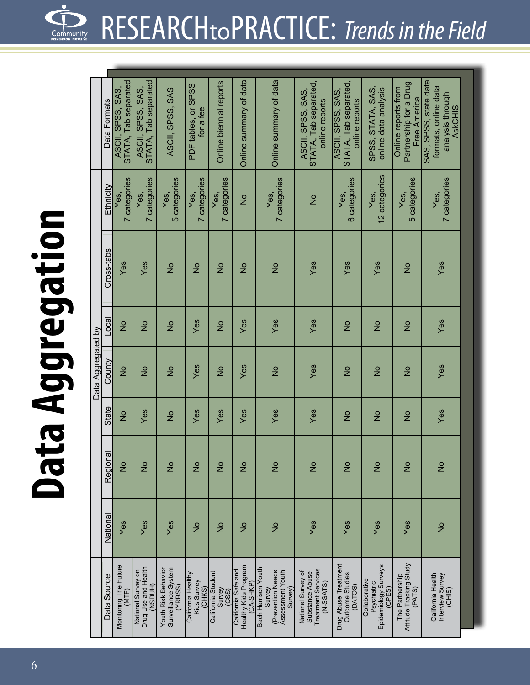### **Da t a A g g r e g a t i o**

**n**

|                    | Data Formats | STATA, Tab separated<br>ASCII, SPSS, SAS, | STATA, Tab separated<br>ASCII, SPSS, SAS,            | ASCII, SPSS, SAS                                      | PDF tables, or SPSS<br>for a fee            | Online biennial reports               | Online summary of data                                   | Online summary of data                                                            | STATA, Tab separated,<br>ASCII, SPSS, SAS,<br>online reports                      | STATA, Tab separated,<br>ASCII, SPSS, SAS,<br>online reports | SPSS, STATA, SAS,<br>online data analysis                      | Partnership for a Drug<br>Online reports from<br>Free America | SAS, SPSS, state data<br>formats, online data<br>analysis through<br><b>AskCHIS</b> |  |
|--------------------|--------------|-------------------------------------------|------------------------------------------------------|-------------------------------------------------------|---------------------------------------------|---------------------------------------|----------------------------------------------------------|-----------------------------------------------------------------------------------|-----------------------------------------------------------------------------------|--------------------------------------------------------------|----------------------------------------------------------------|---------------------------------------------------------------|-------------------------------------------------------------------------------------|--|
|                    | Ethnicity    | 7 categories<br>Yes,                      | 7 categories<br>Yes,                                 | 5 categories<br>Yes,                                  | 7 categories<br>Yes,                        | 7 categories<br>Yes,                  | $\frac{1}{2}$                                            | 7 categories<br>Yes,                                                              | $\frac{1}{2}$                                                                     | 6 categories<br>Yes,                                         | 12 categories<br>Yes,                                          | 5 categories<br>Yes,                                          | 7 categories<br>Yes,                                                                |  |
|                    | Cross-tabs   | Yes                                       | Yes                                                  | $\frac{1}{2}$                                         | $\frac{1}{2}$                               | $\frac{1}{2}$                         | $\frac{1}{2}$                                            | $\frac{1}{2}$                                                                     | Yes                                                                               | Yes                                                          | Yes                                                            | $\frac{1}{2}$                                                 | Yes                                                                                 |  |
|                    | Loca         | $\frac{1}{2}$                             | $\frac{1}{2}$                                        | $\frac{1}{2}$                                         | Yes                                         | $\frac{1}{2}$                         | Yes                                                      | Yes                                                                               | Yes                                                                               | $\frac{1}{2}$                                                | $\frac{1}{2}$                                                  | $\frac{1}{2}$                                                 | Yes                                                                                 |  |
| Data Aggregated by | County       | $\frac{1}{2}$                             | $\frac{1}{2}$                                        | $\frac{1}{2}$                                         | Yes                                         | $\frac{1}{2}$                         | Yes                                                      | $\frac{1}{2}$                                                                     | Yes                                                                               | $\frac{1}{2}$                                                | $\frac{1}{2}$                                                  | $\frac{1}{2}$                                                 | Yes                                                                                 |  |
|                    | State        | $\frac{1}{2}$                             | Yes                                                  | $\frac{1}{2}$                                         | Yes                                         | Yes                                   | Yes                                                      | Yes                                                                               | Yes                                                                               | $\frac{1}{2}$                                                | $\frac{1}{2}$                                                  | $\frac{1}{2}$                                                 | Yes                                                                                 |  |
|                    | Regional     | $\frac{1}{2}$                             | $\frac{1}{2}$                                        | $\frac{1}{2}$                                         | $\frac{1}{2}$                               | $\frac{1}{2}$                         | $\frac{1}{2}$                                            | $\frac{1}{2}$                                                                     | $\frac{1}{2}$                                                                     | $\frac{1}{2}$                                                | $\frac{1}{2}$                                                  | $\frac{1}{2}$                                                 | $\frac{1}{2}$                                                                       |  |
|                    | National     | Yes                                       | Yes                                                  | Yes                                                   | $\frac{1}{2}$                               | $\frac{1}{2}$                         | $\frac{1}{2}$                                            | $\frac{1}{2}$                                                                     | Yes                                                                               | Yes                                                          | Yes                                                            | Yes                                                           | $\frac{1}{2}$                                                                       |  |
|                    | Data Source  | Monitoring The Future<br>(MTF)            | Drug Use and Health<br>National Survey on<br>(NSDUH) | Surveillance System<br>Youth Risk Behavior<br>(YRBSS) | California Healthy<br>Kids Survey<br>(CHKS) | California Student<br>Survey<br>(CSS) | Healthy Kids Program<br>California Safe and<br>(CA-SHKP) | Bach Harrison Youth<br>(Prevention Needs<br>Assessment Youth<br>Survey)<br>Survey | <b>Treatment Services</b><br>National Survey of<br>Substance Abuse<br>$(N-SSATS)$ | Drug Abuse Treatment<br><b>Outcome Studies</b><br>(DATOS)    | Epidemiology Surveys<br>Collaborative<br>Psychiatric<br>(CPES) | Attitude Tracking Study<br>The Partnership<br>(PATS)          | California Health<br>Interview Survey<br>(CHIS)                                     |  |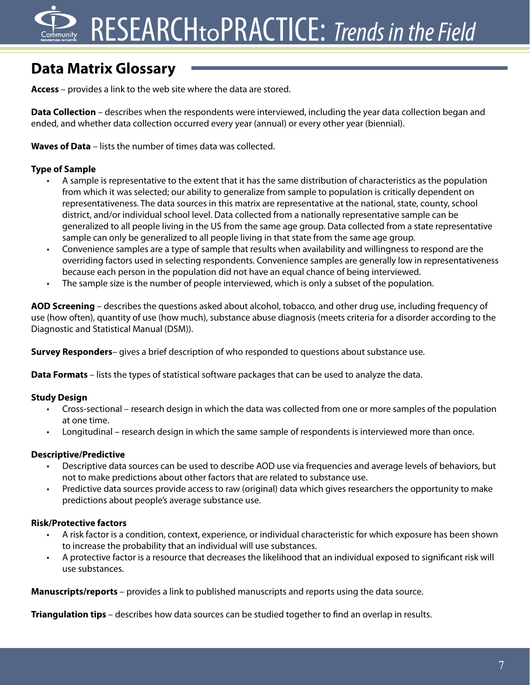## RESEARCHtoPRACTICE: *Trends in the Field*

### **Data Matrix Glossary**

**Access** – provides a link to the web site where the data are stored.

**Data Collection** – describes when the respondents were interviewed, including the year data collection began and ended, and whether data collection occurred every year (annual) or every other year (biennial).

**Waves of Data** – lists the number of times data was collected.

#### **Type of Sample**

- A sample is representative to the extent that it has the same distribution of characteristics as the population from which it was selected; our ability to generalize from sample to population is critically dependent on representativeness. The data sources in this matrix are representative at the national, state, county, school district, and/or individual school level. Data collected from a nationally representative sample can be generalized to all people living in the US from the same age group. Data collected from a state representative sample can only be generalized to all people living in that state from the same age group.
- • Convenience samples are a type of sample that results when availability and willingness to respond are the overriding factors used in selecting respondents. Convenience samples are generally low in representativeness because each person in the population did not have an equal chance of being interviewed.
- The sample size is the number of people interviewed, which is only a subset of the population.

**AOD Screening** – describes the questions asked about alcohol, tobacco, and other drug use, including frequency of use (how often), quantity of use (how much), substance abuse diagnosis (meets criteria for a disorder according to the Diagnostic and Statistical Manual (DSM)).

**Survey Responders**– gives a brief description of who responded to questions about substance use.

**Data Formats** – lists the types of statistical software packages that can be used to analyze the data.

#### **Study Design**

- Cross-sectional research design in which the data was collected from one or more samples of the population at one time.
- Longitudinal research design in which the same sample of respondents is interviewed more than once.

#### **Descriptive/Predictive**

- Descriptive data sources can be used to describe AOD use via frequencies and average levels of behaviors, but not to make predictions about other factors that are related to substance use.
- Predictive data sources provide access to raw (original) data which gives researchers the opportunity to make predictions about people's average substance use.

#### **Risk/Protective factors**

- • A risk factor is a condition, context, experience, or individual characteristic for which exposure has been shown to increase the probability that an individual will use substances.
- A protective factor is a resource that decreases the likelihood that an individual exposed to significant risk will use substances.

**Manuscripts/reports** – provides a link to published manuscripts and reports using the data source.

**Triangulation tips** – describes how data sources can be studied together to find an overlap in results.